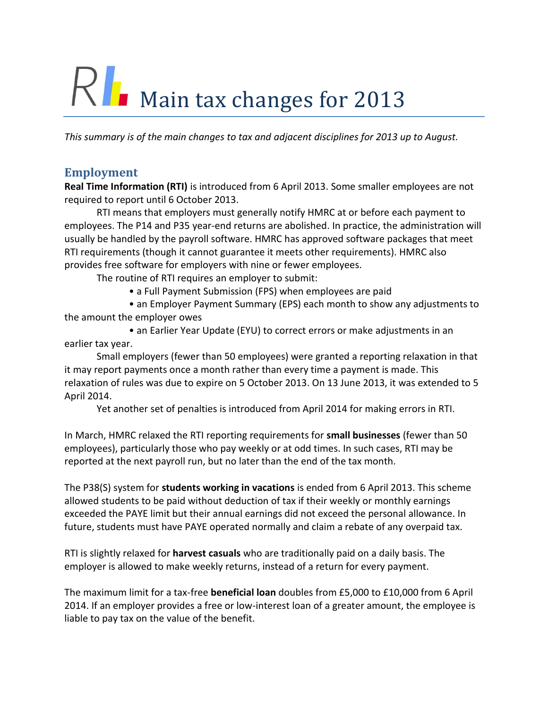# RI Main tax changes for 2013

*This summary is of the main changes to tax and adjacent disciplines for 2013 up to August.*

#### **Employment**

**Real Time Information (RTI)** is introduced from 6 April 2013. Some smaller employees are not required to report until 6 October 2013.

RTI means that employers must generally notify HMRC at or before each payment to employees. The P14 and P35 year-end returns are abolished. In practice, the administration will usually be handled by the payroll software. HMRC has approved software packages that meet RTI requirements (though it cannot guarantee it meets other requirements). HMRC also provides free software for employers with nine or fewer employees.

The routine of RTI requires an employer to submit:

• a Full Payment Submission (FPS) when employees are paid

• an Employer Payment Summary (EPS) each month to show any adjustments to the amount the employer owes

• an Earlier Year Update (EYU) to correct errors or make adjustments in an earlier tax year.

Small employers (fewer than 50 employees) were granted a reporting relaxation in that it may report payments once a month rather than every time a payment is made. This relaxation of rules was due to expire on 5 October 2013. On 13 June 2013, it was extended to 5 April 2014.

Yet another set of penalties is introduced from April 2014 for making errors in RTI.

In March, HMRC relaxed the RTI reporting requirements for **small businesses** (fewer than 50 employees), particularly those who pay weekly or at odd times. In such cases, RTI may be reported at the next payroll run, but no later than the end of the tax month.

The P38(S) system for **students working in vacations** is ended from 6 April 2013. This scheme allowed students to be paid without deduction of tax if their weekly or monthly earnings exceeded the PAYE limit but their annual earnings did not exceed the personal allowance. In future, students must have PAYE operated normally and claim a rebate of any overpaid tax.

RTI is slightly relaxed for **harvest casuals** who are traditionally paid on a daily basis. The employer is allowed to make weekly returns, instead of a return for every payment.

The maximum limit for a tax-free **beneficial loan** doubles from £5,000 to £10,000 from 6 April 2014. If an employer provides a free or low-interest loan of a greater amount, the employee is liable to pay tax on the value of the benefit.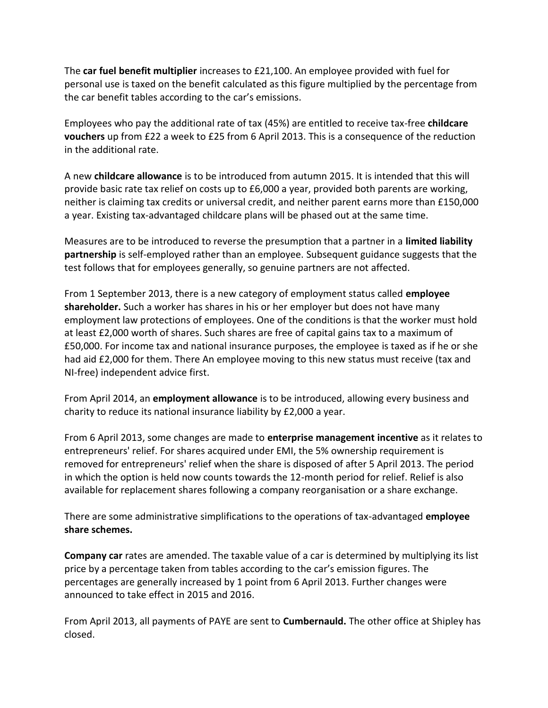The **car fuel benefit multiplier** increases to £21,100. An employee provided with fuel for personal use is taxed on the benefit calculated as this figure multiplied by the percentage from the car benefit tables according to the car's emissions.

Employees who pay the additional rate of tax (45%) are entitled to receive tax-free **childcare vouchers** up from £22 a week to £25 from 6 April 2013. This is a consequence of the reduction in the additional rate.

A new **childcare allowance** is to be introduced from autumn 2015. It is intended that this will provide basic rate tax relief on costs up to £6,000 a year, provided both parents are working, neither is claiming tax credits or universal credit, and neither parent earns more than £150,000 a year. Existing tax-advantaged childcare plans will be phased out at the same time.

Measures are to be introduced to reverse the presumption that a partner in a **limited liability partnership** is self-employed rather than an employee. Subsequent guidance suggests that the test follows that for employees generally, so genuine partners are not affected.

From 1 September 2013, there is a new category of employment status called **employee shareholder.** Such a worker has shares in his or her employer but does not have many employment law protections of employees. One of the conditions is that the worker must hold at least £2,000 worth of shares. Such shares are free of capital gains tax to a maximum of £50,000. For income tax and national insurance purposes, the employee is taxed as if he or she had aid £2,000 for them. There An employee moving to this new status must receive (tax and NI-free) independent advice first.

From April 2014, an **employment allowance** is to be introduced, allowing every business and charity to reduce its national insurance liability by £2,000 a year.

From 6 April 2013, some changes are made to **enterprise management incentive** as it relates to entrepreneurs' relief. For shares acquired under EMI, the 5% ownership requirement is removed for entrepreneurs' relief when the share is disposed of after 5 April 2013. The period in which the option is held now counts towards the 12-month period for relief. Relief is also available for replacement shares following a company reorganisation or a share exchange.

There are some administrative simplifications to the operations of tax-advantaged **employee share schemes.**

**Company car** rates are amended. The taxable value of a car is determined by multiplying its list price by a percentage taken from tables according to the car's emission figures. The percentages are generally increased by 1 point from 6 April 2013. Further changes were announced to take effect in 2015 and 2016.

From April 2013, all payments of PAYE are sent to **Cumbernauld.** The other office at Shipley has closed.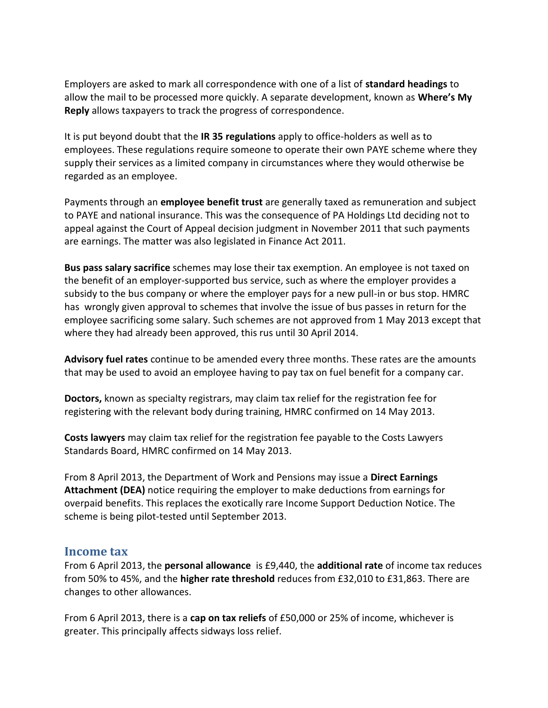Employers are asked to mark all correspondence with one of a list of **standard headings** to allow the mail to be processed more quickly. A separate development, known as **Where's My Reply** allows taxpayers to track the progress of correspondence.

It is put beyond doubt that the **IR 35 regulations** apply to office-holders as well as to employees. These regulations require someone to operate their own PAYE scheme where they supply their services as a limited company in circumstances where they would otherwise be regarded as an employee.

Payments through an **employee benefit trust** are generally taxed as remuneration and subject to PAYE and national insurance. This was the consequence of PA Holdings Ltd deciding not to appeal against the Court of Appeal decision judgment in November 2011 that such payments are earnings. The matter was also legislated in Finance Act 2011.

**Bus pass salary sacrifice** schemes may lose their tax exemption. An employee is not taxed on the benefit of an employer-supported bus service, such as where the employer provides a subsidy to the bus company or where the employer pays for a new pull-in or bus stop. HMRC has wrongly given approval to schemes that involve the issue of bus passes in return for the employee sacrificing some salary. Such schemes are not approved from 1 May 2013 except that where they had already been approved, this rus until 30 April 2014.

**Advisory fuel rates** continue to be amended every three months. These rates are the amounts that may be used to avoid an employee having to pay tax on fuel benefit for a company car.

**Doctors,** known as specialty registrars, may claim tax relief for the registration fee for registering with the relevant body during training, HMRC confirmed on 14 May 2013.

**Costs lawyers** may claim tax relief for the registration fee payable to the Costs Lawyers Standards Board, HMRC confirmed on 14 May 2013.

From 8 April 2013, the Department of Work and Pensions may issue a **Direct Earnings Attachment (DEA)** notice requiring the employer to make deductions from earnings for overpaid benefits. This replaces the exotically rare Income Support Deduction Notice. The scheme is being pilot-tested until September 2013.

#### **Income tax**

From 6 April 2013, the **personal allowance** is £9,440, the **additional rate** of income tax reduces from 50% to 45%, and the **higher rate threshold** reduces from £32,010 to £31,863. There are changes to other allowances.

From 6 April 2013, there is a **cap on tax reliefs** of £50,000 or 25% of income, whichever is greater. This principally affects sidways loss relief.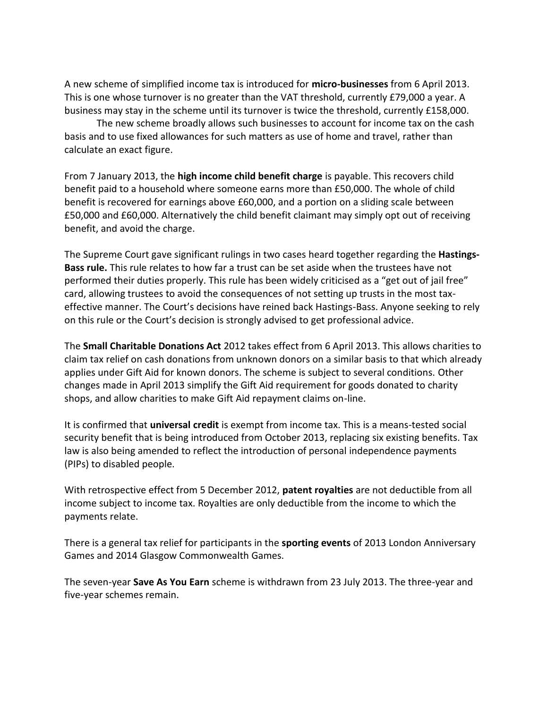A new scheme of simplified income tax is introduced for **micro-businesses** from 6 April 2013. This is one whose turnover is no greater than the VAT threshold, currently £79,000 a year. A business may stay in the scheme until its turnover is twice the threshold, currently £158,000.

The new scheme broadly allows such businesses to account for income tax on the cash basis and to use fixed allowances for such matters as use of home and travel, rather than calculate an exact figure.

From 7 January 2013, the **high income child benefit charge** is payable. This recovers child benefit paid to a household where someone earns more than £50,000. The whole of child benefit is recovered for earnings above £60,000, and a portion on a sliding scale between £50,000 and £60,000. Alternatively the child benefit claimant may simply opt out of receiving benefit, and avoid the charge.

The Supreme Court gave significant rulings in two cases heard together regarding the **Hastings-Bass rule.** This rule relates to how far a trust can be set aside when the trustees have not performed their duties properly. This rule has been widely criticised as a "get out of jail free" card, allowing trustees to avoid the consequences of not setting up trusts in the most taxeffective manner. The Court's decisions have reined back Hastings-Bass. Anyone seeking to rely on this rule or the Court's decision is strongly advised to get professional advice.

The **Small Charitable Donations Act** 2012 takes effect from 6 April 2013. This allows charities to claim tax relief on cash donations from unknown donors on a similar basis to that which already applies under Gift Aid for known donors. The scheme is subject to several conditions. Other changes made in April 2013 simplify the Gift Aid requirement for goods donated to charity shops, and allow charities to make Gift Aid repayment claims on-line.

It is confirmed that **universal credit** is exempt from income tax. This is a means-tested social security benefit that is being introduced from October 2013, replacing six existing benefits. Tax law is also being amended to reflect the introduction of personal independence payments (PIPs) to disabled people.

With retrospective effect from 5 December 2012, **patent royalties** are not deductible from all income subject to income tax. Royalties are only deductible from the income to which the payments relate.

There is a general tax relief for participants in the **sporting events** of 2013 London Anniversary Games and 2014 Glasgow Commonwealth Games.

The seven-year **Save As You Earn** scheme is withdrawn from 23 July 2013. The three-year and five-year schemes remain.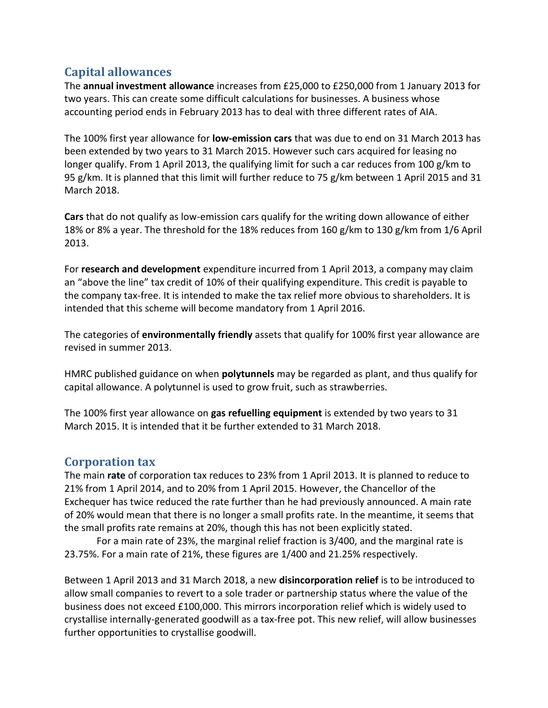# **Capital allowances**

The **annual investment allowance** increases from £25,000 to £250,000 from 1 January 2013 for two years. This can create some difficult calculations for businesses. A business whose accounting period ends in February 2013 has to deal with three different rates of AIA.

The 100% first year allowance for **low-emission cars** that was due to end on 31 March 2013 has been extended by two years to 31 March 2015. However such cars acquired for leasing no longer qualify. From 1 April 2013, the qualifying limit for such a car reduces from 100 g/km to 95 g/km. It is planned that this limit will further reduce to 75 g/km between 1 April 2015 and 31 March 2018.

**Cars** that do not qualify as low-emission cars qualify for the writing down allowance of either 18% or 8% a year. The threshold for the 18% reduces from 160 g/km to 130 g/km from 1/6 April 2013.

For **research and development** expenditure incurred from 1 April 2013, a company may claim an "above the line" tax credit of 10% of their qualifying expenditure. This credit is payable to the company tax-free. It is intended to make the tax relief more obvious to shareholders. It is intended that this scheme will become mandatory from 1 April 2016.

The categories of **environmentally friendly** assets that qualify for 100% first year allowance are revised in summer 2013.

HMRC published guidance on when **polytunnels** may be regarded as plant, and thus qualify for capital allowance. A polytunnel is used to grow fruit, such as strawberries.

The 100% first year allowance on **gas refuelling equipment** is extended by two years to 31 March 2015. It is intended that it be further extended to 31 March 2018.

## **Corporation tax**

The main **rate** of corporation tax reduces to 23% from 1 April 2013. It is planned to reduce to 21% from 1 April 2014, and to 20% from 1 April 2015. However, the Chancellor of the Exchequer has twice reduced the rate further than he had previously announced. A main rate of 20% would mean that there is no longer a small profits rate. In the meantime, it seems that the small profits rate remains at 20%, though this has not been explicitly stated.

For a main rate of 23%, the marginal relief fraction is 3/400, and the marginal rate is 23.75%. For a main rate of 21%, these figures are 1/400 and 21.25% respectively.

Between 1 April 2013 and 31 March 2018, a new **disincorporation relief** is to be introduced to allow small companies to revert to a sole trader or partnership status where the value of the business does not exceed £100,000. This mirrors incorporation relief which is widely used to crystallise internally-generated goodwill as a tax-free pot. This new relief, will allow businesses further opportunities to crystallise goodwill.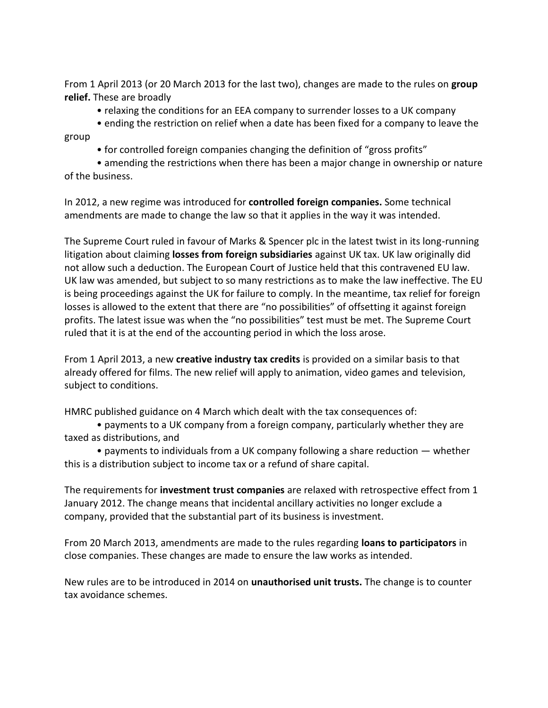From 1 April 2013 (or 20 March 2013 for the last two), changes are made to the rules on **group relief.** These are broadly

- relaxing the conditions for an EEA company to surrender losses to a UK company
- ending the restriction on relief when a date has been fixed for a company to leave the group
	- for controlled foreign companies changing the definition of "gross profits"

• amending the restrictions when there has been a major change in ownership or nature of the business.

In 2012, a new regime was introduced for **controlled foreign companies.** Some technical amendments are made to change the law so that it applies in the way it was intended.

The Supreme Court ruled in favour of Marks & Spencer plc in the latest twist in its long-running litigation about claiming **losses from foreign subsidiaries** against UK tax. UK law originally did not allow such a deduction. The European Court of Justice held that this contravened EU law. UK law was amended, but subject to so many restrictions as to make the law ineffective. The EU is being proceedings against the UK for failure to comply. In the meantime, tax relief for foreign losses is allowed to the extent that there are "no possibilities" of offsetting it against foreign profits. The latest issue was when the "no possibilities" test must be met. The Supreme Court ruled that it is at the end of the accounting period in which the loss arose.

From 1 April 2013, a new **creative industry tax credits** is provided on a similar basis to that already offered for films. The new relief will apply to animation, video games and television, subject to conditions.

HMRC published guidance on 4 March which dealt with the tax consequences of:

• payments to a UK company from a foreign company, particularly whether they are taxed as distributions, and

• payments to individuals from a UK company following a share reduction — whether this is a distribution subject to income tax or a refund of share capital.

The requirements for **investment trust companies** are relaxed with retrospective effect from 1 January 2012. The change means that incidental ancillary activities no longer exclude a company, provided that the substantial part of its business is investment.

From 20 March 2013, amendments are made to the rules regarding **loans to participators** in close companies. These changes are made to ensure the law works as intended.

New rules are to be introduced in 2014 on **unauthorised unit trusts.** The change is to counter tax avoidance schemes.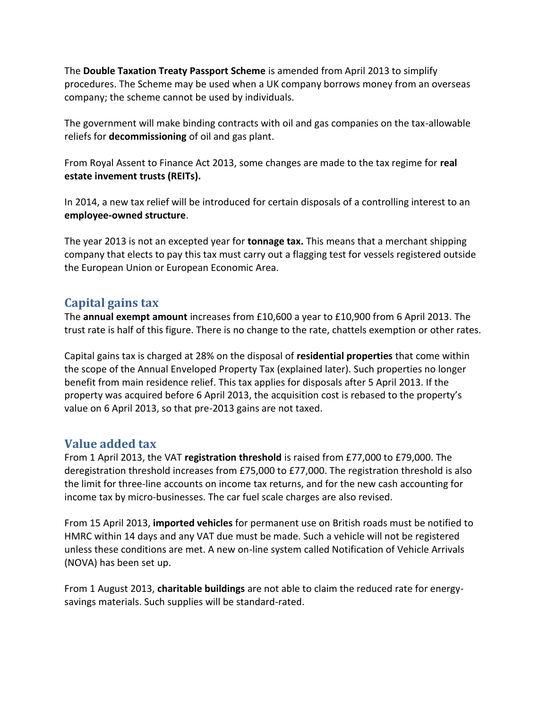The **Double Taxation Treaty Passport Scheme** is amended from April 2013 to simplify procedures. The Scheme may be used when a UK company borrows money from an overseas company; the scheme cannot be used by individuals.

The government will make binding contracts with oil and gas companies on the tax-allowable reliefs for **decommissioning** of oil and gas plant.

From Royal Assent to Finance Act 2013, some changes are made to the tax regime for **real estate invement trusts (REITs).**

In 2014, a new tax relief will be introduced for certain disposals of a controlling interest to an **employee-owned structure**.

The year 2013 is not an excepted year for **tonnage tax.** This means that a merchant shipping company that elects to pay this tax must carry out a flagging test for vessels registered outside the European Union or European Economic Area.

## **Capital gains tax**

The **annual exempt amount** increases from £10,600 a year to £10,900 from 6 April 2013. The trust rate is half of this figure. There is no change to the rate, chattels exemption or other rates.

Capital gains tax is charged at 28% on the disposal of **residential properties** that come within the scope of the Annual Enveloped Property Tax (explained later). Such properties no longer benefit from main residence relief. This tax applies for disposals after 5 April 2013. If the property was acquired before 6 April 2013, the acquisition cost is rebased to the property's value on 6 April 2013, so that pre-2013 gains are not taxed.

# **Value added tax**

From 1 April 2013, the VAT **registration threshold** is raised from £77,000 to £79,000. The deregistration threshold increases from £75,000 to £77,000. The registration threshold is also the limit for three-line accounts on income tax returns, and for the new cash accounting for income tax by micro-businesses. The car fuel scale charges are also revised.

From 15 April 2013, **imported vehicles** for permanent use on British roads must be notified to HMRC within 14 days and any VAT due must be made. Such a vehicle will not be registered unless these conditions are met. A new on-line system called Notification of Vehicle Arrivals (NOVA) has been set up.

From 1 August 2013, **charitable buildings** are not able to claim the reduced rate for energysavings materials. Such supplies will be standard-rated.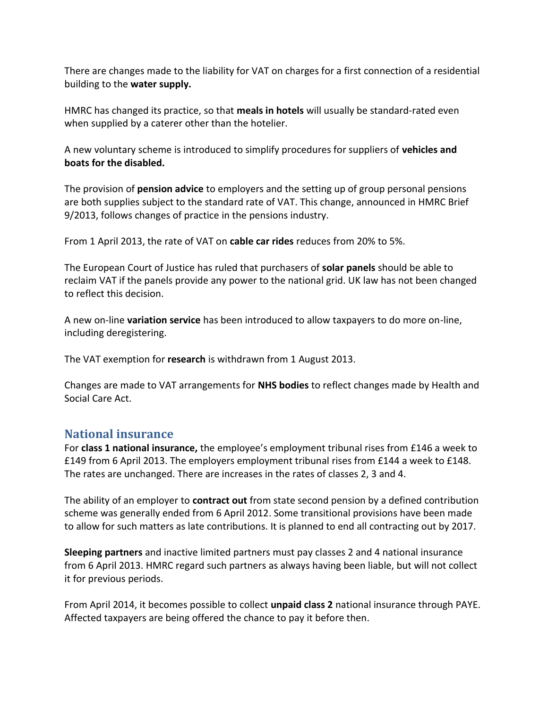There are changes made to the liability for VAT on charges for a first connection of a residential building to the **water supply.**

HMRC has changed its practice, so that **meals in hotels** will usually be standard-rated even when supplied by a caterer other than the hotelier.

A new voluntary scheme is introduced to simplify procedures for suppliers of **vehicles and boats for the disabled.**

The provision of **pension advice** to employers and the setting up of group personal pensions are both supplies subject to the standard rate of VAT. This change, announced in HMRC Brief 9/2013, follows changes of practice in the pensions industry.

From 1 April 2013, the rate of VAT on **cable car rides** reduces from 20% to 5%.

The European Court of Justice has ruled that purchasers of **solar panels** should be able to reclaim VAT if the panels provide any power to the national grid. UK law has not been changed to reflect this decision.

A new on-line **variation service** has been introduced to allow taxpayers to do more on-line, including deregistering.

The VAT exemption for **research** is withdrawn from 1 August 2013.

Changes are made to VAT arrangements for **NHS bodies** to reflect changes made by Health and Social Care Act.

## **National insurance**

For **class 1 national insurance,** the employee's employment tribunal rises from £146 a week to £149 from 6 April 2013. The employers employment tribunal rises from £144 a week to £148. The rates are unchanged. There are increases in the rates of classes 2, 3 and 4.

The ability of an employer to **contract out** from state second pension by a defined contribution scheme was generally ended from 6 April 2012. Some transitional provisions have been made to allow for such matters as late contributions. It is planned to end all contracting out by 2017.

**Sleeping partners** and inactive limited partners must pay classes 2 and 4 national insurance from 6 April 2013. HMRC regard such partners as always having been liable, but will not collect it for previous periods.

From April 2014, it becomes possible to collect **unpaid class 2** national insurance through PAYE. Affected taxpayers are being offered the chance to pay it before then.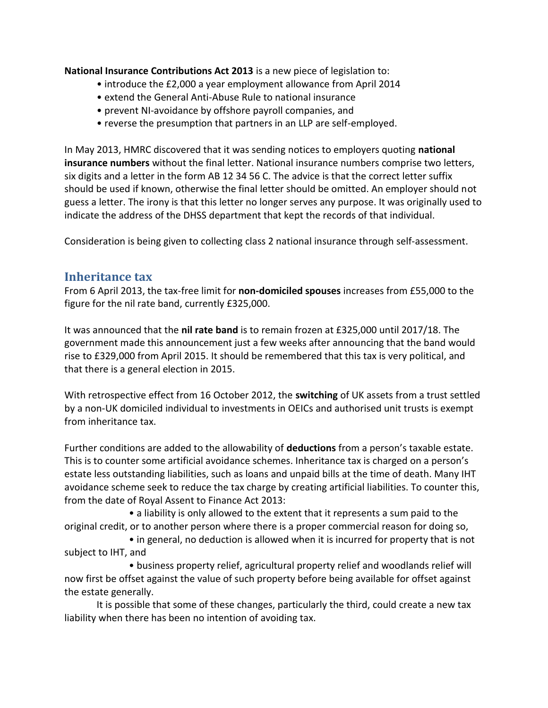**National Insurance Contributions Act 2013** is a new piece of legislation to:

- introduce the £2,000 a year employment allowance from April 2014
- extend the General Anti-Abuse Rule to national insurance
- prevent NI-avoidance by offshore payroll companies, and
- reverse the presumption that partners in an LLP are self-employed.

In May 2013, HMRC discovered that it was sending notices to employers quoting **national insurance numbers** without the final letter. National insurance numbers comprise two letters, six digits and a letter in the form AB 12 34 56 C. The advice is that the correct letter suffix should be used if known, otherwise the final letter should be omitted. An employer should not guess a letter. The irony is that this letter no longer serves any purpose. It was originally used to indicate the address of the DHSS department that kept the records of that individual.

Consideration is being given to collecting class 2 national insurance through self-assessment.

## **Inheritance tax**

From 6 April 2013, the tax-free limit for **non-domiciled spouses** increases from £55,000 to the figure for the nil rate band, currently £325,000.

It was announced that the **nil rate band** is to remain frozen at £325,000 until 2017/18. The government made this announcement just a few weeks after announcing that the band would rise to £329,000 from April 2015. It should be remembered that this tax is very political, and that there is a general election in 2015.

With retrospective effect from 16 October 2012, the **switching** of UK assets from a trust settled by a non-UK domiciled individual to investments in OEICs and authorised unit trusts is exempt from inheritance tax.

Further conditions are added to the allowability of **deductions** from a person's taxable estate. This is to counter some artificial avoidance schemes. Inheritance tax is charged on a person's estate less outstanding liabilities, such as loans and unpaid bills at the time of death. Many IHT avoidance scheme seek to reduce the tax charge by creating artificial liabilities. To counter this, from the date of Royal Assent to Finance Act 2013:

• a liability is only allowed to the extent that it represents a sum paid to the original credit, or to another person where there is a proper commercial reason for doing so,

• in general, no deduction is allowed when it is incurred for property that is not subject to IHT, and

• business property relief, agricultural property relief and woodlands relief will now first be offset against the value of such property before being available for offset against the estate generally.

It is possible that some of these changes, particularly the third, could create a new tax liability when there has been no intention of avoiding tax.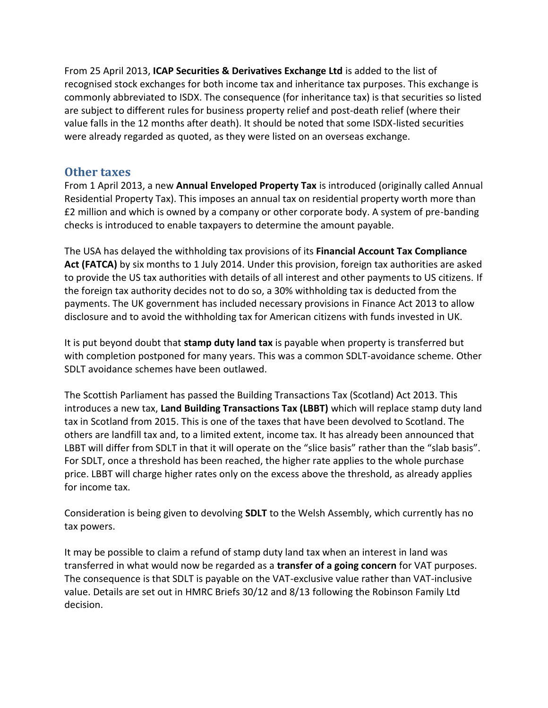From 25 April 2013, **ICAP Securities & Derivatives Exchange Ltd** is added to the list of recognised stock exchanges for both income tax and inheritance tax purposes. This exchange is commonly abbreviated to ISDX. The consequence (for inheritance tax) is that securities so listed are subject to different rules for business property relief and post-death relief (where their value falls in the 12 months after death). It should be noted that some ISDX-listed securities were already regarded as quoted, as they were listed on an overseas exchange.

#### **Other taxes**

From 1 April 2013, a new **Annual Enveloped Property Tax** is introduced (originally called Annual Residential Property Tax). This imposes an annual tax on residential property worth more than £2 million and which is owned by a company or other corporate body. A system of pre-banding checks is introduced to enable taxpayers to determine the amount payable.

The USA has delayed the withholding tax provisions of its **Financial Account Tax Compliance**  Act (FATCA) by six months to 1 July 2014. Under this provision, foreign tax authorities are asked to provide the US tax authorities with details of all interest and other payments to US citizens. If the foreign tax authority decides not to do so, a 30% withholding tax is deducted from the payments. The UK government has included necessary provisions in Finance Act 2013 to allow disclosure and to avoid the withholding tax for American citizens with funds invested in UK.

It is put beyond doubt that **stamp duty land tax** is payable when property is transferred but with completion postponed for many years. This was a common SDLT-avoidance scheme. Other SDLT avoidance schemes have been outlawed.

The Scottish Parliament has passed the Building Transactions Tax (Scotland) Act 2013. This introduces a new tax, **Land Building Transactions Tax (LBBT)** which will replace stamp duty land tax in Scotland from 2015. This is one of the taxes that have been devolved to Scotland. The others are landfill tax and, to a limited extent, income tax. It has already been announced that LBBT will differ from SDLT in that it will operate on the "slice basis" rather than the "slab basis". For SDLT, once a threshold has been reached, the higher rate applies to the whole purchase price. LBBT will charge higher rates only on the excess above the threshold, as already applies for income tax.

Consideration is being given to devolving **SDLT** to the Welsh Assembly, which currently has no tax powers.

It may be possible to claim a refund of stamp duty land tax when an interest in land was transferred in what would now be regarded as a **transfer of a going concern** for VAT purposes. The consequence is that SDLT is payable on the VAT-exclusive value rather than VAT-inclusive value. Details are set out in HMRC Briefs 30/12 and 8/13 following the Robinson Family Ltd decision.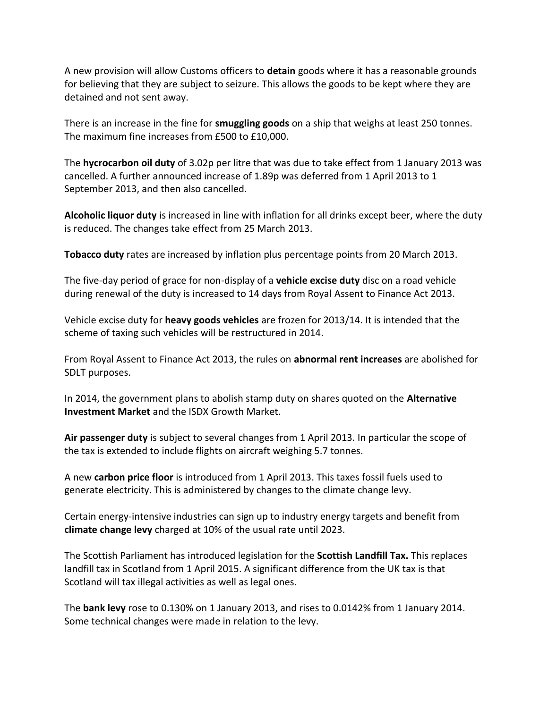A new provision will allow Customs officers to **detain** goods where it has a reasonable grounds for believing that they are subject to seizure. This allows the goods to be kept where they are detained and not sent away.

There is an increase in the fine for **smuggling goods** on a ship that weighs at least 250 tonnes. The maximum fine increases from £500 to £10,000.

The **hycrocarbon oil duty** of 3.02p per litre that was due to take effect from 1 January 2013 was cancelled. A further announced increase of 1.89p was deferred from 1 April 2013 to 1 September 2013, and then also cancelled.

**Alcoholic liquor duty** is increased in line with inflation for all drinks except beer, where the duty is reduced. The changes take effect from 25 March 2013.

**Tobacco duty** rates are increased by inflation plus percentage points from 20 March 2013.

The five-day period of grace for non-display of a **vehicle excise duty** disc on a road vehicle during renewal of the duty is increased to 14 days from Royal Assent to Finance Act 2013.

Vehicle excise duty for **heavy goods vehicles** are frozen for 2013/14. It is intended that the scheme of taxing such vehicles will be restructured in 2014.

From Royal Assent to Finance Act 2013, the rules on **abnormal rent increases** are abolished for SDLT purposes.

In 2014, the government plans to abolish stamp duty on shares quoted on the **Alternative Investment Market** and the ISDX Growth Market.

**Air passenger duty** is subject to several changes from 1 April 2013. In particular the scope of the tax is extended to include flights on aircraft weighing 5.7 tonnes.

A new **carbon price floor** is introduced from 1 April 2013. This taxes fossil fuels used to generate electricity. This is administered by changes to the climate change levy.

Certain energy-intensive industries can sign up to industry energy targets and benefit from **climate change levy** charged at 10% of the usual rate until 2023.

The Scottish Parliament has introduced legislation for the **Scottish Landfill Tax.** This replaces landfill tax in Scotland from 1 April 2015. A significant difference from the UK tax is that Scotland will tax illegal activities as well as legal ones.

The **bank levy** rose to 0.130% on 1 January 2013, and rises to 0.0142% from 1 January 2014. Some technical changes were made in relation to the levy.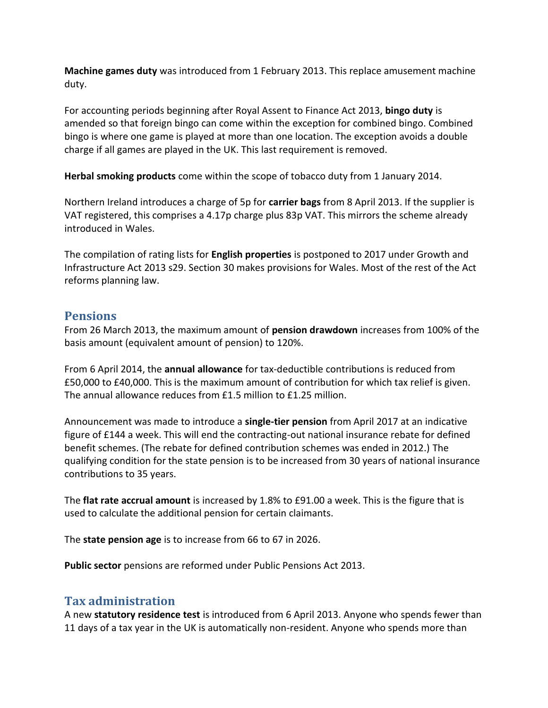**Machine games duty** was introduced from 1 February 2013. This replace amusement machine duty.

For accounting periods beginning after Royal Assent to Finance Act 2013, **bingo duty** is amended so that foreign bingo can come within the exception for combined bingo. Combined bingo is where one game is played at more than one location. The exception avoids a double charge if all games are played in the UK. This last requirement is removed.

**Herbal smoking products** come within the scope of tobacco duty from 1 January 2014.

Northern Ireland introduces a charge of 5p for **carrier bags** from 8 April 2013. If the supplier is VAT registered, this comprises a 4.17p charge plus 83p VAT. This mirrors the scheme already introduced in Wales.

The compilation of rating lists for **English properties** is postponed to 2017 under Growth and Infrastructure Act 2013 s29. Section 30 makes provisions for Wales. Most of the rest of the Act reforms planning law.

# **Pensions**

From 26 March 2013, the maximum amount of **pension drawdown** increases from 100% of the basis amount (equivalent amount of pension) to 120%.

From 6 April 2014, the **annual allowance** for tax-deductible contributions is reduced from £50,000 to £40,000. This is the maximum amount of contribution for which tax relief is given. The annual allowance reduces from £1.5 million to £1.25 million.

Announcement was made to introduce a **single-tier pension** from April 2017 at an indicative figure of £144 a week. This will end the contracting-out national insurance rebate for defined benefit schemes. (The rebate for defined contribution schemes was ended in 2012.) The qualifying condition for the state pension is to be increased from 30 years of national insurance contributions to 35 years.

The **flat rate accrual amount** is increased by 1.8% to £91.00 a week. This is the figure that is used to calculate the additional pension for certain claimants.

The **state pension age** is to increase from 66 to 67 in 2026.

**Public sector** pensions are reformed under Public Pensions Act 2013.

# **Tax administration**

A new **statutory residence test** is introduced from 6 April 2013. Anyone who spends fewer than 11 days of a tax year in the UK is automatically non-resident. Anyone who spends more than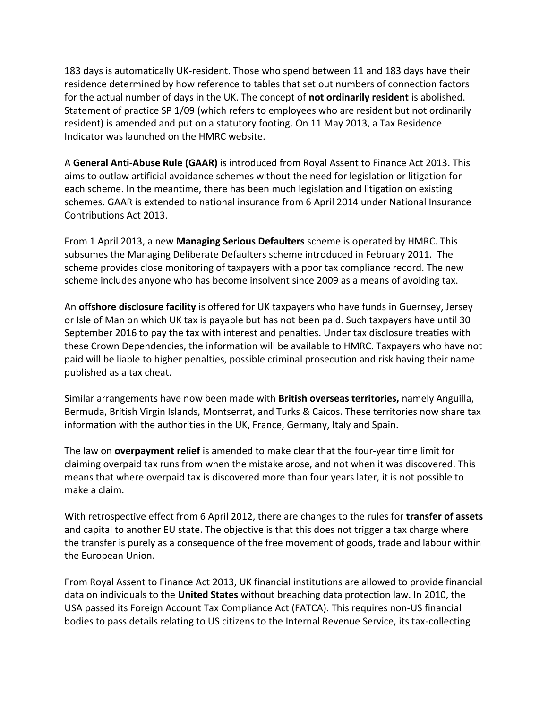183 days is automatically UK-resident. Those who spend between 11 and 183 days have their residence determined by how reference to tables that set out numbers of connection factors for the actual number of days in the UK. The concept of **not ordinarily resident** is abolished. Statement of practice SP 1/09 (which refers to employees who are resident but not ordinarily resident) is amended and put on a statutory footing. On 11 May 2013, a Tax Residence Indicator was launched on the HMRC website.

A **General Anti-Abuse Rule (GAAR)** is introduced from Royal Assent to Finance Act 2013. This aims to outlaw artificial avoidance schemes without the need for legislation or litigation for each scheme. In the meantime, there has been much legislation and litigation on existing schemes. GAAR is extended to national insurance from 6 April 2014 under National Insurance Contributions Act 2013.

From 1 April 2013, a new **Managing Serious Defaulters** scheme is operated by HMRC. This subsumes the Managing Deliberate Defaulters scheme introduced in February 2011. The scheme provides close monitoring of taxpayers with a poor tax compliance record. The new scheme includes anyone who has become insolvent since 2009 as a means of avoiding tax.

An **offshore disclosure facility** is offered for UK taxpayers who have funds in Guernsey, Jersey or Isle of Man on which UK tax is payable but has not been paid. Such taxpayers have until 30 September 2016 to pay the tax with interest and penalties. Under tax disclosure treaties with these Crown Dependencies, the information will be available to HMRC. Taxpayers who have not paid will be liable to higher penalties, possible criminal prosecution and risk having their name published as a tax cheat.

Similar arrangements have now been made with **British overseas territories,** namely Anguilla, Bermuda, British Virgin Islands, Montserrat, and Turks & Caicos. These territories now share tax information with the authorities in the UK, France, Germany, Italy and Spain.

The law on **overpayment relief** is amended to make clear that the four-year time limit for claiming overpaid tax runs from when the mistake arose, and not when it was discovered. This means that where overpaid tax is discovered more than four years later, it is not possible to make a claim.

With retrospective effect from 6 April 2012, there are changes to the rules for **transfer of assets**  and capital to another EU state. The objective is that this does not trigger a tax charge where the transfer is purely as a consequence of the free movement of goods, trade and labour within the European Union.

From Royal Assent to Finance Act 2013, UK financial institutions are allowed to provide financial data on individuals to the **United States** without breaching data protection law. In 2010, the USA passed its Foreign Account Tax Compliance Act (FATCA). This requires non-US financial bodies to pass details relating to US citizens to the Internal Revenue Service, its tax-collecting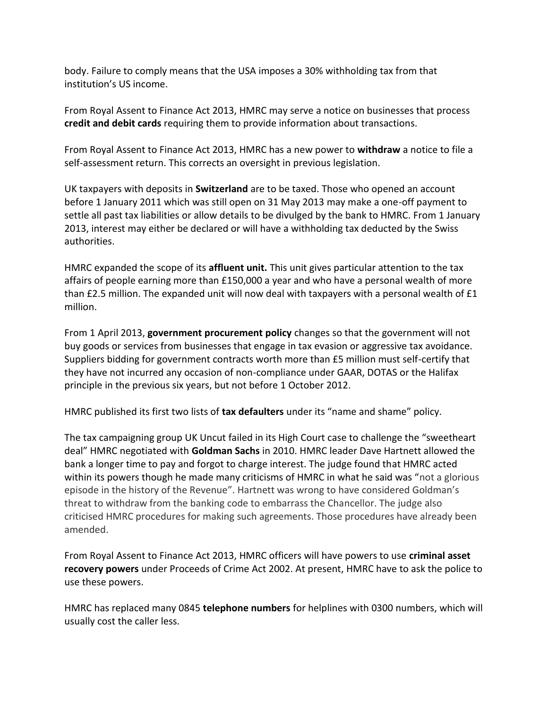body. Failure to comply means that the USA imposes a 30% withholding tax from that institution's US income.

From Royal Assent to Finance Act 2013, HMRC may serve a notice on businesses that process **credit and debit cards** requiring them to provide information about transactions.

From Royal Assent to Finance Act 2013, HMRC has a new power to **withdraw** a notice to file a self-assessment return. This corrects an oversight in previous legislation.

UK taxpayers with deposits in **Switzerland** are to be taxed. Those who opened an account before 1 January 2011 which was still open on 31 May 2013 may make a one-off payment to settle all past tax liabilities or allow details to be divulged by the bank to HMRC. From 1 January 2013, interest may either be declared or will have a withholding tax deducted by the Swiss authorities.

HMRC expanded the scope of its **affluent unit.** This unit gives particular attention to the tax affairs of people earning more than £150,000 a year and who have a personal wealth of more than £2.5 million. The expanded unit will now deal with taxpayers with a personal wealth of £1 million.

From 1 April 2013, **government procurement policy** changes so that the government will not buy goods or services from businesses that engage in tax evasion or aggressive tax avoidance. Suppliers bidding for government contracts worth more than £5 million must self-certify that they have not incurred any occasion of non-compliance under GAAR, DOTAS or the Halifax principle in the previous six years, but not before 1 October 2012.

HMRC published its first two lists of **tax defaulters** under its "name and shame" policy.

The tax campaigning group UK Uncut failed in its High Court case to challenge the "sweetheart deal" HMRC negotiated with **Goldman Sachs** in 2010. HMRC leader Dave Hartnett allowed the bank a longer time to pay and forgot to charge interest. The judge found that HMRC acted within its powers though he made many criticisms of HMRC in what he said was "not a glorious episode in the history of the Revenue". Hartnett was wrong to have considered Goldman's threat to withdraw from the banking code to embarrass the Chancellor. The judge also criticised HMRC procedures for making such agreements. Those procedures have already been amended.

From Royal Assent to Finance Act 2013, HMRC officers will have powers to use **criminal asset recovery powers** under Proceeds of Crime Act 2002. At present, HMRC have to ask the police to use these powers.

HMRC has replaced many 0845 **telephone numbers** for helplines with 0300 numbers, which will usually cost the caller less.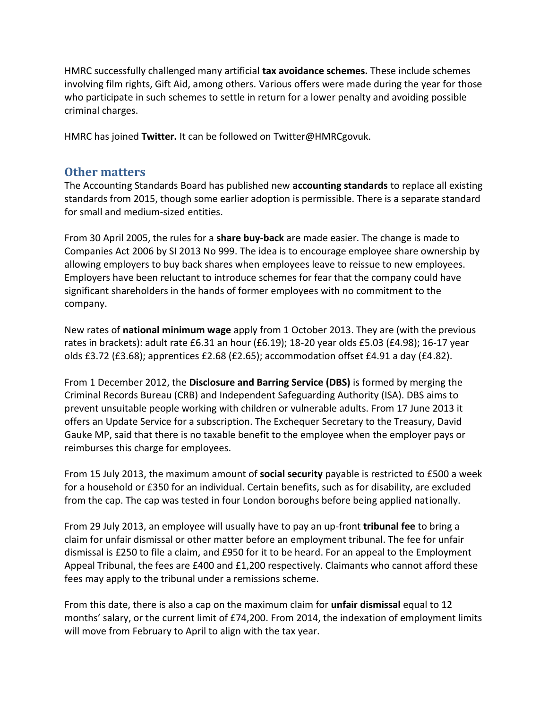HMRC successfully challenged many artificial **tax avoidance schemes.** These include schemes involving film rights, Gift Aid, among others. Various offers were made during the year for those who participate in such schemes to settle in return for a lower penalty and avoiding possible criminal charges.

HMRC has joined **Twitter.** It can be followed on Twitter@HMRCgovuk.

#### **Other matters**

The Accounting Standards Board has published new **accounting standards** to replace all existing standards from 2015, though some earlier adoption is permissible. There is a separate standard for small and medium-sized entities.

From 30 April 2005, the rules for a **share buy-back** are made easier. The change is made to Companies Act 2006 by SI 2013 No 999. The idea is to encourage employee share ownership by allowing employers to buy back shares when employees leave to reissue to new employees. Employers have been reluctant to introduce schemes for fear that the company could have significant shareholders in the hands of former employees with no commitment to the company.

New rates of **national minimum wage** apply from 1 October 2013. They are (with the previous rates in brackets): adult rate £6.31 an hour (£6.19); 18-20 year olds £5.03 (£4.98); 16-17 year olds £3.72 (£3.68); apprentices £2.68 (£2.65); accommodation offset £4.91 a day (£4.82).

From 1 December 2012, the **Disclosure and Barring Service (DBS)** is formed by merging the Criminal Records Bureau (CRB) and Independent Safeguarding Authority (ISA). DBS aims to prevent unsuitable people working with children or vulnerable adults. From 17 June 2013 it offers an Update Service for a subscription. The Exchequer Secretary to the Treasury, David Gauke MP, said that there is no taxable benefit to the employee when the employer pays or reimburses this charge for employees.

From 15 July 2013, the maximum amount of **social security** payable is restricted to £500 a week for a household or £350 for an individual. Certain benefits, such as for disability, are excluded from the cap. The cap was tested in four London boroughs before being applied nationally.

From 29 July 2013, an employee will usually have to pay an up-front **tribunal fee** to bring a claim for unfair dismissal or other matter before an employment tribunal. The fee for unfair dismissal is £250 to file a claim, and £950 for it to be heard. For an appeal to the Employment Appeal Tribunal, the fees are £400 and £1,200 respectively. Claimants who cannot afford these fees may apply to the tribunal under a remissions scheme.

From this date, there is also a cap on the maximum claim for **unfair dismissal** equal to 12 months' salary, or the current limit of £74,200. From 2014, the indexation of employment limits will move from February to April to align with the tax year.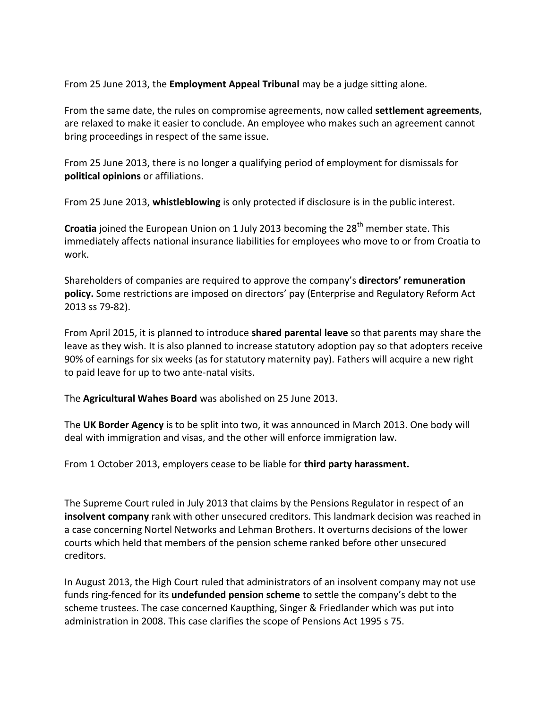From 25 June 2013, the **Employment Appeal Tribunal** may be a judge sitting alone.

From the same date, the rules on compromise agreements, now called **settlement agreements**, are relaxed to make it easier to conclude. An employee who makes such an agreement cannot bring proceedings in respect of the same issue.

From 25 June 2013, there is no longer a qualifying period of employment for dismissals for **political opinions** or affiliations.

From 25 June 2013, **whistleblowing** is only protected if disclosure is in the public interest.

**Croatia** joined the European Union on 1 July 2013 becoming the 28<sup>th</sup> member state. This immediately affects national insurance liabilities for employees who move to or from Croatia to work.

Shareholders of companies are required to approve the company's **directors' remuneration policy.** Some restrictions are imposed on directors' pay (Enterprise and Regulatory Reform Act 2013 ss 79-82).

From April 2015, it is planned to introduce **shared parental leave** so that parents may share the leave as they wish. It is also planned to increase statutory adoption pay so that adopters receive 90% of earnings for six weeks (as for statutory maternity pay). Fathers will acquire a new right to paid leave for up to two ante-natal visits.

The **Agricultural Wahes Board** was abolished on 25 June 2013.

The **UK Border Agency** is to be split into two, it was announced in March 2013. One body will deal with immigration and visas, and the other will enforce immigration law.

From 1 October 2013, employers cease to be liable for **third party harassment.**

The Supreme Court ruled in July 2013 that claims by the Pensions Regulator in respect of an **insolvent company** rank with other unsecured creditors. This landmark decision was reached in a case concerning Nortel Networks and Lehman Brothers. It overturns decisions of the lower courts which held that members of the pension scheme ranked before other unsecured creditors.

In August 2013, the High Court ruled that administrators of an insolvent company may not use funds ring-fenced for its **undefunded pension scheme** to settle the company's debt to the scheme trustees. The case concerned Kaupthing, Singer & Friedlander which was put into administration in 2008. This case clarifies the scope of Pensions Act 1995 s 75.